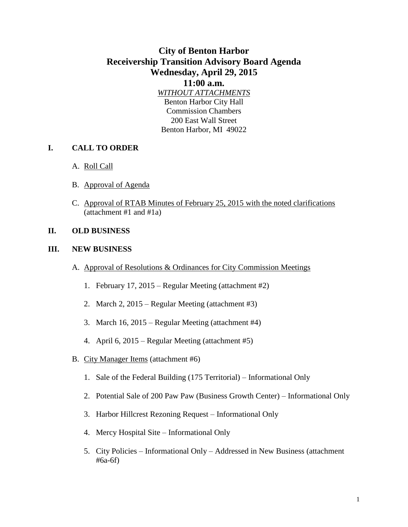# **City of Benton Harbor Receivership Transition Advisory Board Agenda Wednesday, April 29, 2015**

#### **11:00 a.m.**

*WITHOUT ATTACHMENTS* Benton Harbor City Hall Commission Chambers 200 East Wall Street Benton Harbor, MI 49022

### **I. CALL TO ORDER**

- A. Roll Call
- B. Approval of Agenda
- C. Approval of RTAB Minutes of February 25, 2015 with the noted clarifications (attachment #1 and #1a)

#### **II. OLD BUSINESS**

#### **III. NEW BUSINESS**

- A. Approval of Resolutions & Ordinances for City Commission Meetings
	- 1. February 17, 2015 Regular Meeting (attachment #2)
	- 2. March 2, 2015 Regular Meeting (attachment #3)
	- 3. March 16, 2015 Regular Meeting (attachment #4)
	- 4. April 6, 2015 Regular Meeting (attachment #5)
- B. City Manager Items (attachment #6)
	- 1. Sale of the Federal Building (175 Territorial) Informational Only
	- 2. Potential Sale of 200 Paw Paw (Business Growth Center) Informational Only
	- 3. Harbor Hillcrest Rezoning Request Informational Only
	- 4. Mercy Hospital Site Informational Only
	- 5. City Policies Informational Only Addressed in New Business (attachment #6a-6f)